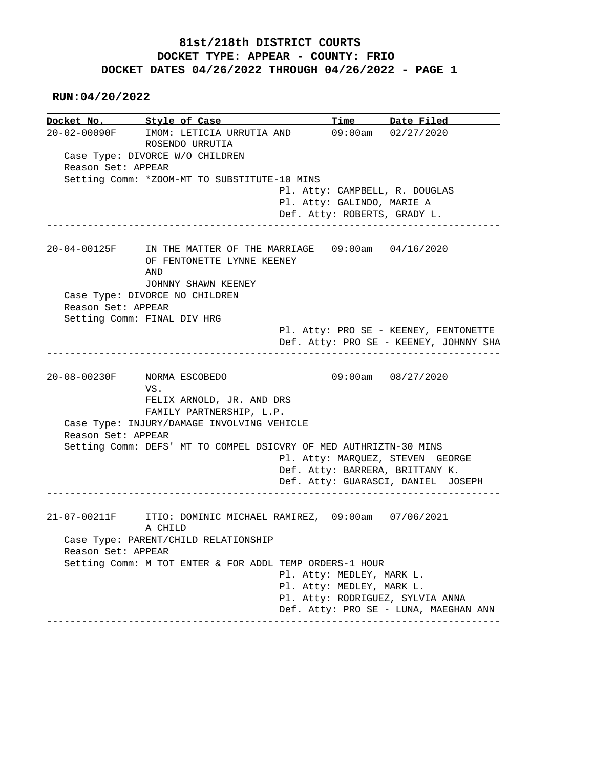## **81st/218th DISTRICT COURTS DOCKET TYPE: APPEAR - COUNTY: FRIO DOCKET DATES 04/26/2022 THROUGH 04/26/2022 - PAGE 1**

 **RUN:04/20/2022**

**Docket No. Style of Case Time Date Filed**  20-02-00090F IMOM: LETICIA URRUTIA AND 09:00am 02/27/2020 ROSENDO URRUTIA Case Type: DIVORCE W/O CHILDREN Reason Set: APPEAR Setting Comm: \*ZOOM-MT TO SUBSTITUTE-10 MINS Pl. Atty: CAMPBELL, R. DOUGLAS Pl. Atty: GALINDO, MARIE A Def. Atty: ROBERTS, GRADY L. ------------------------------------------------------------------------------ 20-04-00125F IN THE MATTER OF THE MARRIAGE 09:00am 04/16/2020 OF FENTONETTE LYNNE KEENEY AND JOHNNY SHAWN KEENEY Case Type: DIVORCE NO CHILDREN Reason Set: APPEAR Setting Comm: FINAL DIV HRG Pl. Atty: PRO SE - KEENEY, FENTONETTE Def. Atty: PRO SE - KEENEY, JOHNNY SHA ------------------------------------------------------------------------------ 20-08-00230F NORMA ESCOBEDO 09:00am 08/27/2020 VS. FELIX ARNOLD, JR. AND DRS FAMILY PARTNERSHIP, L.P. Case Type: INJURY/DAMAGE INVOLVING VEHICLE Reason Set: APPEAR Setting Comm: DEFS' MT TO COMPEL DSICVRY OF MED AUTHRIZTN-30 MINS Pl. Atty: MARQUEZ, STEVEN GEORGE Def. Atty: BARRERA, BRITTANY K. Def. Atty: GUARASCI, DANIEL JOSEPH ------------------------------------------------------------------------------ 21-07-00211F ITIO: DOMINIC MICHAEL RAMIREZ, 09:00am 07/06/2021 A CHILD Case Type: PARENT/CHILD RELATIONSHIP Reason Set: APPEAR Setting Comm: M TOT ENTER & FOR ADDL TEMP ORDERS-1 HOUR Pl. Atty: MEDLEY, MARK L. Pl. Atty: MEDLEY, MARK L. Pl. Atty: RODRIGUEZ, SYLVIA ANNA Def. Atty: PRO SE - LUNA, MAEGHAN ANN ------------------------------------------------------------------------------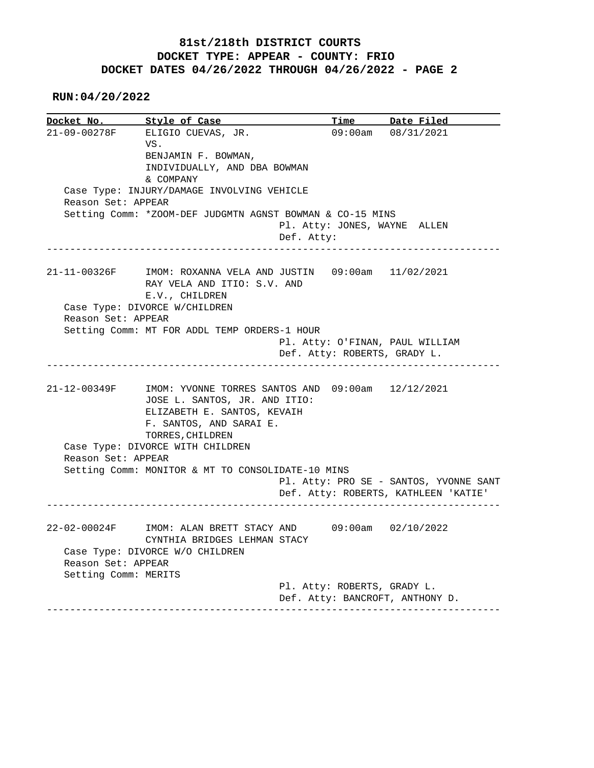## **81st/218th DISTRICT COURTS DOCKET TYPE: APPEAR - COUNTY: FRIO DOCKET DATES 04/26/2022 THROUGH 04/26/2022 - PAGE 2**

 **RUN:04/20/2022**

**Docket No.** Style of Case **Time** Date Filed 21-09-00278F ELIGIO CUEVAS, JR. 09:00am 08/31/2021 VS. BENJAMIN F. BOWMAN, INDIVIDUALLY, AND DBA BOWMAN & COMPANY Case Type: INJURY/DAMAGE INVOLVING VEHICLE Reason Set: APPEAR Setting Comm: \*ZOOM-DEF JUDGMTN AGNST BOWMAN & CO-15 MINS Pl. Atty: JONES, WAYNE ALLEN Def. Atty: ------------------------------------------------------------------------------ 21-11-00326F IMOM: ROXANNA VELA AND JUSTIN 09:00am 11/02/2021 RAY VELA AND ITIO: S.V. AND E.V., CHILDREN Case Type: DIVORCE W/CHILDREN Reason Set: APPEAR Setting Comm: MT FOR ADDL TEMP ORDERS-1 HOUR Pl. Atty: O'FINAN, PAUL WILLIAM Def. Atty: ROBERTS, GRADY L. ------------------------------------------------------------------------------ 21-12-00349F IMOM: YVONNE TORRES SANTOS AND 09:00am 12/12/2021 JOSE L. SANTOS, JR. AND ITIO: ELIZABETH E. SANTOS, KEVAIH F. SANTOS, AND SARAI E. TORRES, CHILDREN Case Type: DIVORCE WITH CHILDREN Reason Set: APPEAR Setting Comm: MONITOR & MT TO CONSOLIDATE-10 MINS Pl. Atty: PRO SE - SANTOS, YVONNE SANT Def. Atty: ROBERTS, KATHLEEN 'KATIE' ------------------------------------------------------------------------------ 22-02-00024F IMOM: ALAN BRETT STACY AND 09:00am 02/10/2022 CYNTHIA BRIDGES LEHMAN STACY Case Type: DIVORCE W/O CHILDREN Reason Set: APPEAR Setting Comm: MERITS Pl. Atty: ROBERTS, GRADY L. Def. Atty: BANCROFT, ANTHONY D. ------------------------------------------------------------------------------